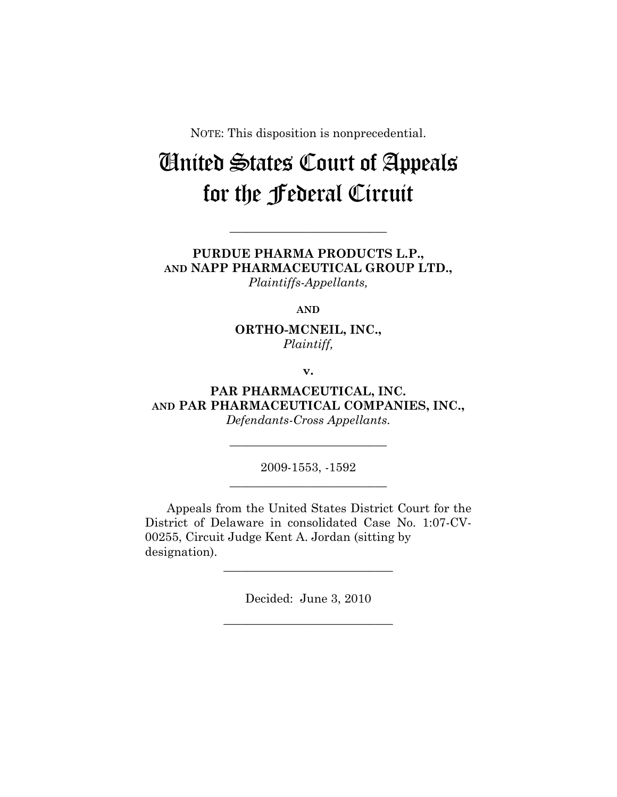NOTE: This disposition is nonprecedential.

# United States Court of Appeals for the Federal Circuit

**PURDUE PHARMA PRODUCTS L.P., AND NAPP PHARMACEUTICAL GROUP LTD.,**  *Plaintiffs-Appellants,* 

**\_\_\_\_\_\_\_\_\_\_\_\_\_\_\_\_\_\_\_\_\_\_\_\_\_\_** 

**AND**

**ORTHO-MCNEIL, INC.,**  *Plaintiff,* 

**v.** 

**PAR PHARMACEUTICAL, INC. AND PAR PHARMACEUTICAL COMPANIES, INC.,**  *Defendants-Cross Appellants.* 

> 2009-1553, -1592 **\_\_\_\_\_\_\_\_\_\_\_\_\_\_\_\_\_\_\_\_\_\_\_\_\_\_**

> **\_\_\_\_\_\_\_\_\_\_\_\_\_\_\_\_\_\_\_\_\_\_\_\_\_\_**

Appeals from the United States District Court for the District of Delaware in consolidated Case No. 1:07-CV-00255, Circuit Judge Kent A. Jordan (sitting by designation).

> Decided: June 3, 2010 **\_\_\_\_\_\_\_\_\_\_\_\_\_\_\_\_\_\_\_\_\_\_\_\_\_\_\_\_**

> **\_\_\_\_\_\_\_\_\_\_\_\_\_\_\_\_\_\_\_\_\_\_\_\_\_\_\_\_**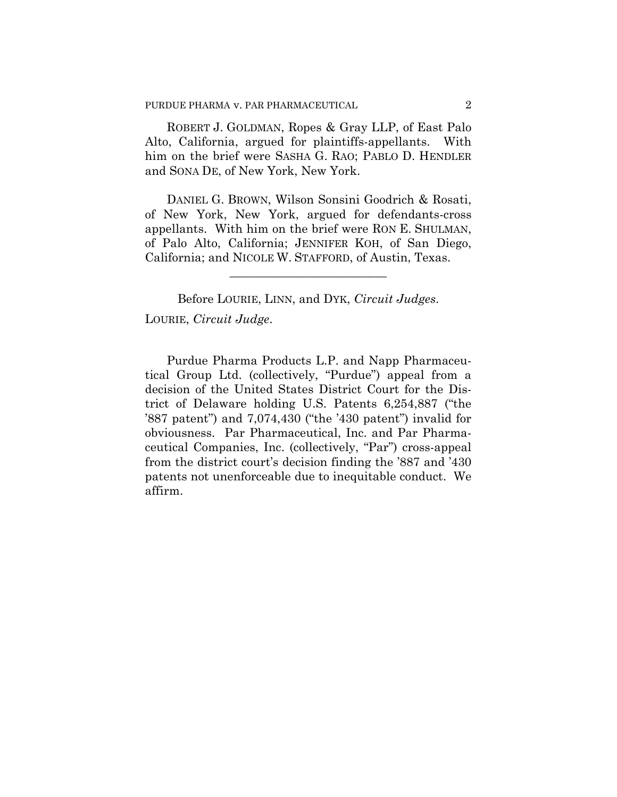ROBERT J. GOLDMAN, Ropes & Gray LLP, of East Palo Alto, California, argued for plaintiffs-appellants. With him on the brief were SASHA G. RAO; PABLO D. HENDLER and SONA DE, of New York, New York.

DANIEL G. BROWN, Wilson Sonsini Goodrich & Rosati, of New York, New York, argued for defendants-cross appellants. With him on the brief were RON E. SHULMAN, of Palo Alto, California; JENNIFER KOH, of San Diego, California; and NICOLE W. STAFFORD, of Austin, Texas.

**\_\_\_\_\_\_\_\_\_\_\_\_\_\_\_\_\_\_\_\_\_\_\_\_\_\_** 

Before LOURIE, LINN, and DYK, *Circuit Judges*. LOURIE, *Circuit Judge*.

Purdue Pharma Products L.P. and Napp Pharmaceutical Group Ltd. (collectively, "Purdue") appeal from a decision of the United States District Court for the District of Delaware holding U.S. Patents 6,254,887 ("the '887 patent") and 7,074,430 ("the '430 patent") invalid for obviousness. Par Pharmaceutical, Inc. and Par Pharmaceutical Companies, Inc. (collectively, "Par") cross-appeal from the district court's decision finding the '887 and '430 patents not unenforceable due to inequitable conduct. We affirm.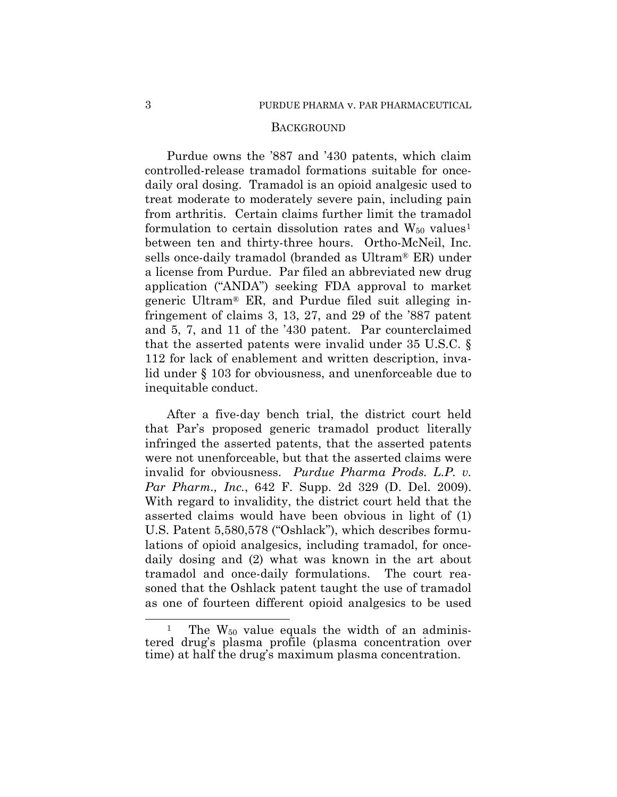#### **BACKGROUND**

Purdue owns the '887 and '430 patents, which claim controlled-release tramadol formations suitable for oncedaily oral dosing. Tramadol is an opioid analgesic used to treat moderate to moderately severe pain, including pain from arthritis. Certain claims further limit the tramadol formulation to certain dissolution rates and  $W_{50}$  values<sup>[1](#page-2-0)</sup> between ten and thirty-three hours. Ortho-McNeil, Inc. sells once-daily tramadol (branded as Ultram® ER) under a license from Purdue. Par filed an abbreviated new drug application ("ANDA") seeking FDA approval to market generic Ultram® ER, and Purdue filed suit alleging infringement of claims 3, 13, 27, and 29 of the '887 patent and 5, 7, and 11 of the '430 patent. Par counterclaimed that the asserted patents were invalid under 35 U.S.C. § 112 for lack of enablement and written description, invalid under § 103 for obviousness, and unenforceable due to inequitable conduct.

After a five-day bench trial, the district court held that Par's proposed generic tramadol product literally infringed the asserted patents, that the asserted patents were not unenforceable, but that the asserted claims were invalid for obviousness. *Purdue Pharma Prods. L.P. v. Par Pharm., Inc.*, 642 F. Supp. 2d 329 (D. Del. 2009). With regard to invalidity, the district court held that the asserted claims would have been obvious in light of (1) U.S. Patent 5,580,578 ("Oshlack"), which describes formulations of opioid analgesics, including tramadol, for oncedaily dosing and (2) what was known in the art about tramadol and once-daily formulations. The court reasoned that the Oshlack patent taught the use of tramadol as one of fourteen different opioid analgesics to be used

<u>.</u>

<span id="page-2-0"></span><sup>&</sup>lt;sup>1</sup> The W<sub>50</sub> value equals the width of an administered drug's plasma profile (plasma concentration over time) at half the drug's maximum plasma concentration.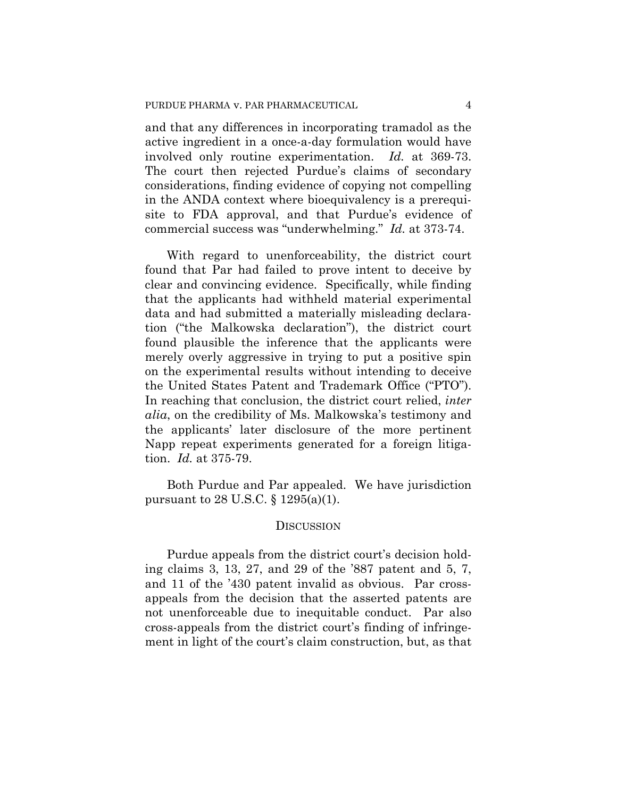and that any differences in incorporating tramadol as the active ingredient in a once-a-day formulation would have involved only routine experimentation. *Id.* at 369-73. The court then rejected Purdue's claims of secondary considerations, finding evidence of copying not compelling in the ANDA context where bioequivalency is a prerequisite to FDA approval, and that Purdue's evidence of commercial success was "underwhelming." *Id.* at 373-74.

With regard to unenforceability, the district court found that Par had failed to prove intent to deceive by clear and convincing evidence. Specifically, while finding that the applicants had withheld material experimental data and had submitted a materially misleading declaration ("the Malkowska declaration"), the district court found plausible the inference that the applicants were merely overly aggressive in trying to put a positive spin on the experimental results without intending to deceive the United States Patent and Trademark Office ("PTO"). In reaching that conclusion, the district court relied, *inter alia*, on the credibility of Ms. Malkowska's testimony and the applicants' later disclosure of the more pertinent Napp repeat experiments generated for a foreign litigation. *Id.* at 375-79.

Both Purdue and Par appealed. We have jurisdiction pursuant to 28 U.S.C. § 1295(a)(1).

### **DISCUSSION**

Purdue appeals from the district court's decision holding claims 3, 13, 27, and 29 of the '887 patent and 5, 7, and 11 of the '430 patent invalid as obvious. Par crossappeals from the decision that the asserted patents are not unenforceable due to inequitable conduct. Par also cross-appeals from the district court's finding of infringement in light of the court's claim construction, but, as that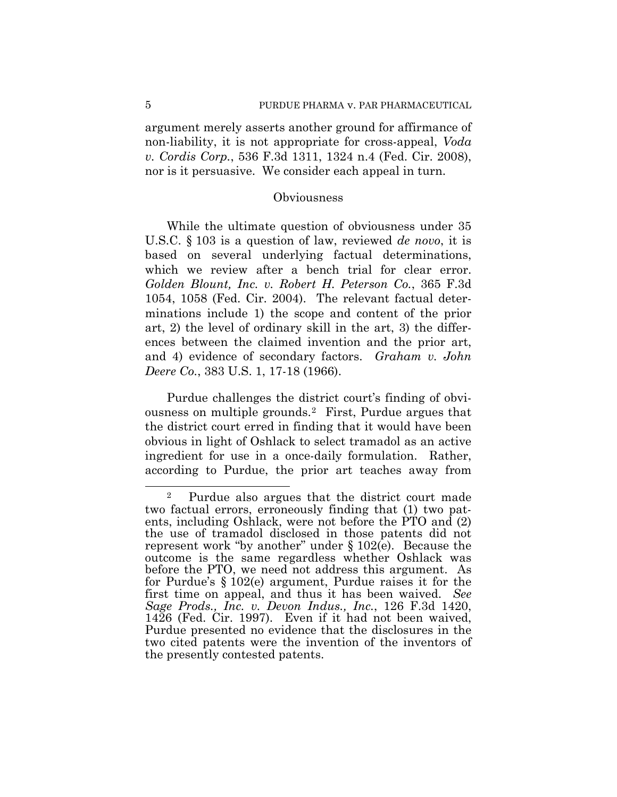argument merely asserts another ground for affirmance of non-liability, it is not appropriate for cross-appeal, *Voda v. Cordis Corp.*, 536 F.3d 1311, 1324 n.4 (Fed. Cir. 2008), nor is it persuasive. We consider each appeal in turn.

#### **Obviousness**

While the ultimate question of obviousness under 35 U.S.C. § 103 is a question of law, reviewed *de novo*, it is based on several underlying factual determinations, which we review after a bench trial for clear error. *Golden Blount, Inc. v. Robert H. Peterson Co.*, 365 F.3d 1054, 1058 (Fed. Cir. 2004). The relevant factual determinations include 1) the scope and content of the prior art, 2) the level of ordinary skill in the art, 3) the differences between the claimed invention and the prior art, and 4) evidence of secondary factors. *Graham v. John Deere Co.*, 383 U.S. 1, 17-18 (1966).

Purdue challenges the district court's finding of obviousness on multiple grounds.[2](#page-4-0) First, Purdue argues that the district court erred in finding that it would have been obvious in light of Oshlack to select tramadol as an active ingredient for use in a once-daily formulation. Rather, according to Purdue, the prior art teaches away from

<span id="page-4-0"></span><sup>&</sup>lt;u>.</u> 2 Purdue also argues that the district court made two factual errors, erroneously finding that (1) two patents, including Oshlack, were not before the PTO and (2) the use of tramadol disclosed in those patents did not represent work "by another" under § 102(e). Because the outcome is the same regardless whether Oshlack was before the PTO, we need not address this argument. As for Purdue's § 102(e) argument, Purdue raises it for the first time on appeal, and thus it has been waived. *See Sage Prods., Inc. v. Devon Indus., Inc.*, 126 F.3d 1420, 1426 (Fed. Cir. 1997). Even if it had not been waived, Purdue presented no evidence that the disclosures in the two cited patents were the invention of the inventors of the presently contested patents.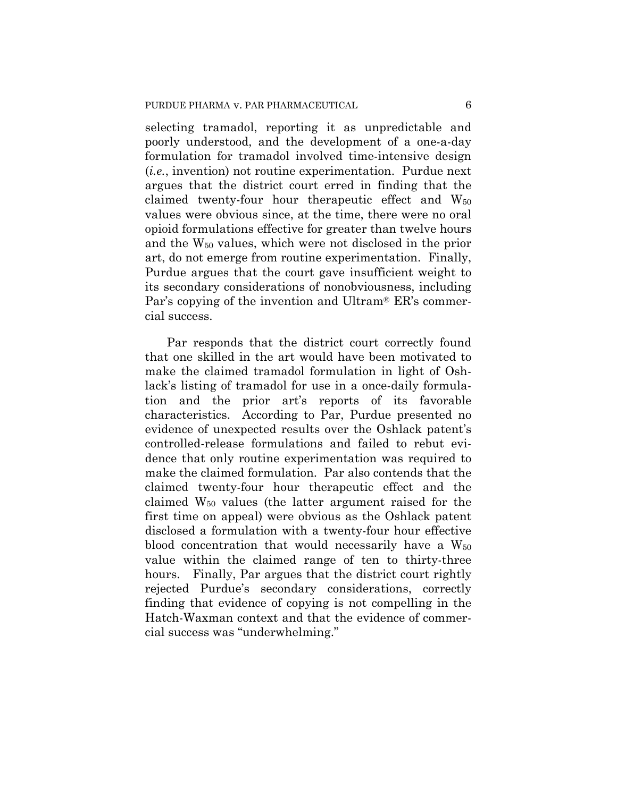selecting tramadol, reporting it as unpredictable and poorly understood, and the development of a one-a-day formulation for tramadol involved time-intensive design (*i.e.*, invention) not routine experimentation. Purdue next argues that the district court erred in finding that the claimed twenty-four hour therapeutic effect and  $W_{50}$ values were obvious since, at the time, there were no oral opioid formulations effective for greater than twelve hours and the W50 values, which were not disclosed in the prior art, do not emerge from routine experimentation. Finally, Purdue argues that the court gave insufficient weight to its secondary considerations of nonobviousness, including Par's copying of the invention and Ultram® ER's commercial success.

Par responds that the district court correctly found that one skilled in the art would have been motivated to make the claimed tramadol formulation in light of Oshlack's listing of tramadol for use in a once-daily formulation and the prior art's reports of its favorable characteristics. According to Par, Purdue presented no evidence of unexpected results over the Oshlack patent's controlled-release formulations and failed to rebut evidence that only routine experimentation was required to make the claimed formulation. Par also contends that the claimed twenty-four hour therapeutic effect and the claimed  $W_{50}$  values (the latter argument raised for the first time on appeal) were obvious as the Oshlack patent disclosed a formulation with a twenty-four hour effective blood concentration that would necessarily have a  $W_{50}$ value within the claimed range of ten to thirty-three hours. Finally, Par argues that the district court rightly rejected Purdue's secondary considerations, correctly finding that evidence of copying is not compelling in the Hatch-Waxman context and that the evidence of commercial success was "underwhelming."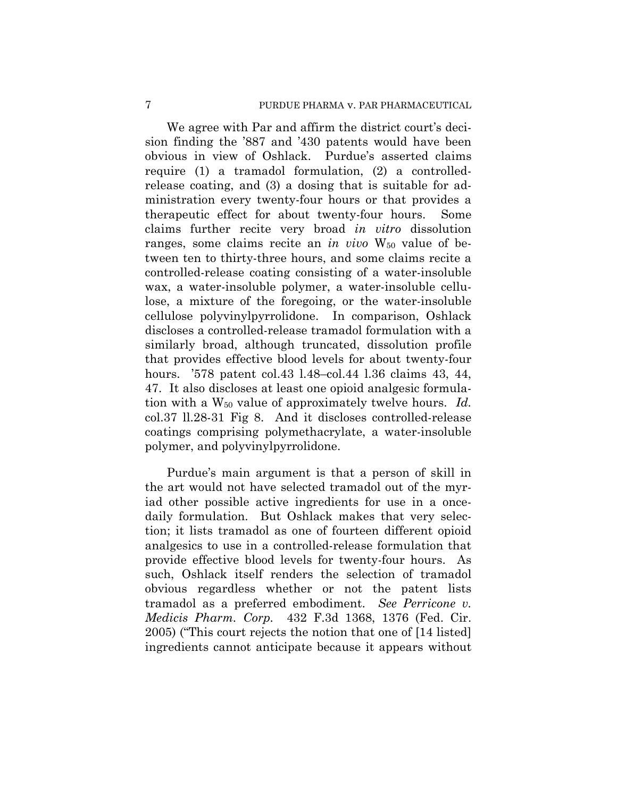We agree with Par and affirm the district court's decision finding the '887 and '430 patents would have been obvious in view of Oshlack. Purdue's asserted claims require (1) a tramadol formulation, (2) a controlledrelease coating, and (3) a dosing that is suitable for administration every twenty-four hours or that provides a therapeutic effect for about twenty-four hours. Some claims further recite very broad *in vitro* dissolution ranges, some claims recite an *in vivo* W<sub>50</sub> value of between ten to thirty-three hours, and some claims recite a controlled-release coating consisting of a water-insoluble wax, a water-insoluble polymer, a water-insoluble cellulose, a mixture of the foregoing, or the water-insoluble cellulose polyvinylpyrrolidone. In comparison, Oshlack discloses a controlled-release tramadol formulation with a similarly broad, although truncated, dissolution profile that provides effective blood levels for about twenty-four hours. '578 patent col.43 l.48–col.44 l.36 claims 43, 44, 47. It also discloses at least one opioid analgesic formulation with a W50 value of approximately twelve hours. *Id.* col.37 ll.28-31 Fig 8. And it discloses controlled-release coatings comprising polymethacrylate, a water-insoluble polymer, and polyvinylpyrrolidone.

Purdue's main argument is that a person of skill in the art would not have selected tramadol out of the myriad other possible active ingredients for use in a oncedaily formulation. But Oshlack makes that very selection; it lists tramadol as one of fourteen different opioid analgesics to use in a controlled-release formulation that provide effective blood levels for twenty-four hours. As such, Oshlack itself renders the selection of tramadol obvious regardless whether or not the patent lists tramadol as a preferred embodiment. *See Perricone v. Medicis Pharm. Corp.* 432 F.3d 1368, 1376 (Fed. Cir. 2005) ("This court rejects the notion that one of [14 listed] ingredients cannot anticipate because it appears without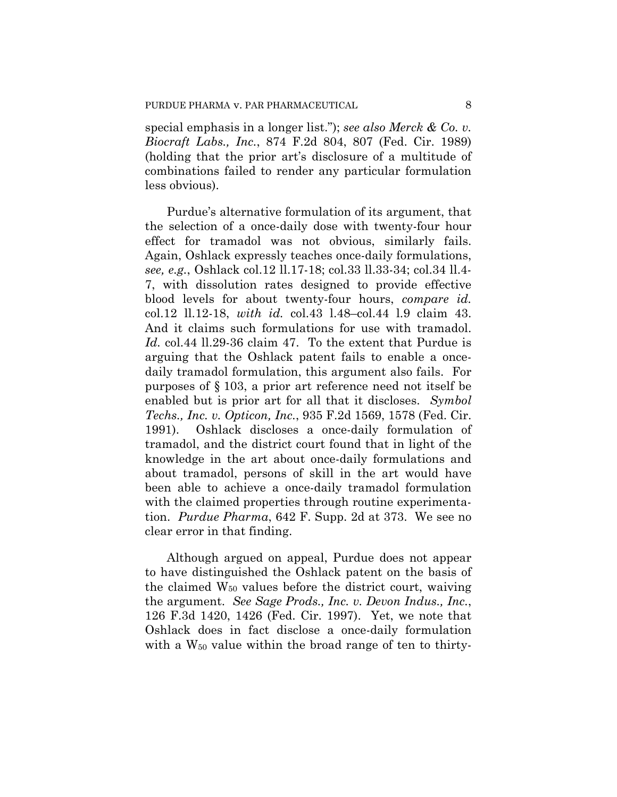special emphasis in a longer list."); *see also Merck & Co. v. Biocraft Labs., Inc.*, 874 F.2d 804, 807 (Fed. Cir. 1989) (holding that the prior art's disclosure of a multitude of combinations failed to render any particular formulation less obvious).

Purdue's alternative formulation of its argument, that the selection of a once-daily dose with twenty-four hour effect for tramadol was not obvious, similarly fails. Again, Oshlack expressly teaches once-daily formulations, *see, e.g.*, Oshlack col.12 ll.17-18; col.33 ll.33-34; col.34 ll.4- 7, with dissolution rates designed to provide effective blood levels for about twenty-four hours, *compare id.* col.12 ll.12-18, *with id.* col.43 l.48–col.44 l.9 claim 43. And it claims such formulations for use with tramadol. *Id.* col.44 ll.29-36 claim 47. To the extent that Purdue is arguing that the Oshlack patent fails to enable a oncedaily tramadol formulation, this argument also fails. For purposes of § 103, a prior art reference need not itself be enabled but is prior art for all that it discloses. *Symbol Techs., Inc. v. Opticon, Inc.*, 935 F.2d 1569, 1578 (Fed. Cir. 1991). Oshlack discloses a once-daily formulation of tramadol, and the district court found that in light of the knowledge in the art about once-daily formulations and about tramadol, persons of skill in the art would have been able to achieve a once-daily tramadol formulation with the claimed properties through routine experimentation. *Purdue Pharma*, 642 F. Supp. 2d at 373. We see no clear error in that finding.

Although argued on appeal, Purdue does not appear to have distinguished the Oshlack patent on the basis of the claimed W50 values before the district court, waiving the argument. *See Sage Prods., Inc. v. Devon Indus., Inc.*, 126 F.3d 1420, 1426 (Fed. Cir. 1997). Yet, we note that Oshlack does in fact disclose a once-daily formulation with a W<sub>50</sub> value within the broad range of ten to thirty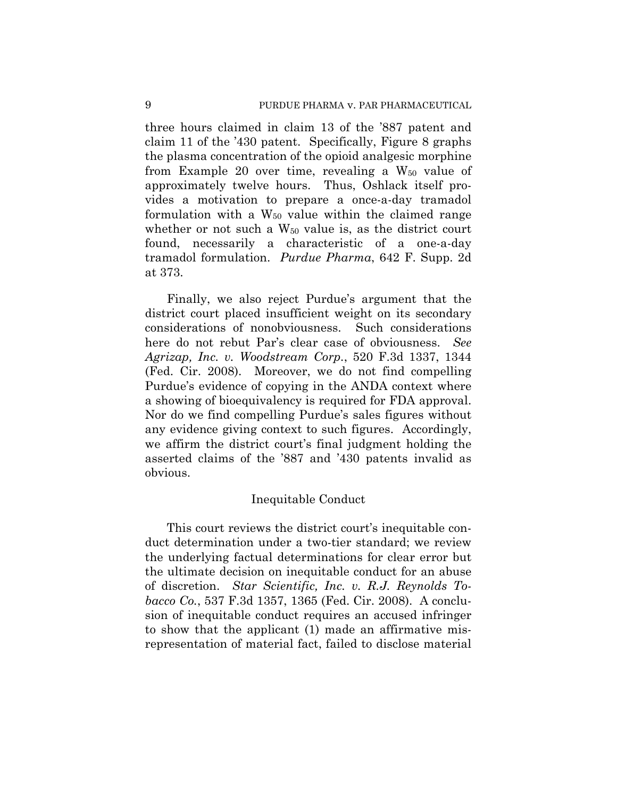three hours claimed in claim 13 of the '887 patent and claim 11 of the '430 patent. Specifically, Figure 8 graphs the plasma concentration of the opioid analgesic morphine from Example 20 over time, revealing a  $W_{50}$  value of approximately twelve hours. Thus, Oshlack itself provides a motivation to prepare a once-a-day tramadol formulation with a  $W_{50}$  value within the claimed range whether or not such a  $W_{50}$  value is, as the district court found, necessarily a characteristic of a one-a-day tramadol formulation. *Purdue Pharma*, 642 F. Supp. 2d at 373.

Finally, we also reject Purdue's argument that the district court placed insufficient weight on its secondary considerations of nonobviousness. Such considerations here do not rebut Par's clear case of obviousness. *See Agrizap, Inc. v. Woodstream Corp.*, 520 F.3d 1337, 1344 (Fed. Cir. 2008). Moreover, we do not find compelling Purdue's evidence of copying in the ANDA context where a showing of bioequivalency is required for FDA approval. Nor do we find compelling Purdue's sales figures without any evidence giving context to such figures. Accordingly, we affirm the district court's final judgment holding the asserted claims of the '887 and '430 patents invalid as obvious.

#### Inequitable Conduct

This court reviews the district court's inequitable conduct determination under a two-tier standard; we review the underlying factual determinations for clear error but the ultimate decision on inequitable conduct for an abuse of discretion. *Star Scientific, Inc. v. R.J. Reynolds Tobacco Co.*, 537 F.3d 1357, 1365 (Fed. Cir. 2008). A conclusion of inequitable conduct requires an accused infringer to show that the applicant (1) made an affirmative misrepresentation of material fact, failed to disclose material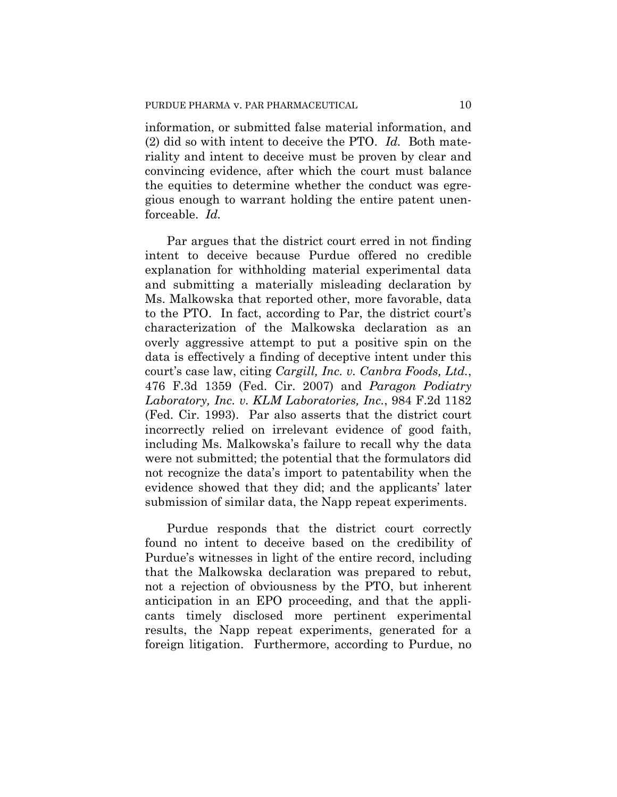information, or submitted false material information, and (2) did so with intent to deceive the PTO. *Id.* Both materiality and intent to deceive must be proven by clear and convincing evidence, after which the court must balance the equities to determine whether the conduct was egregious enough to warrant holding the entire patent unenforceable. *Id.*

Par argues that the district court erred in not finding intent to deceive because Purdue offered no credible explanation for withholding material experimental data and submitting a materially misleading declaration by Ms. Malkowska that reported other, more favorable, data to the PTO. In fact, according to Par, the district court's characterization of the Malkowska declaration as an overly aggressive attempt to put a positive spin on the data is effectively a finding of deceptive intent under this court's case law, citing *Cargill, Inc. v. Canbra Foods, Ltd.*, 476 F.3d 1359 (Fed. Cir. 2007) and *Paragon Podiatry Laboratory, Inc. v. KLM Laboratories, Inc.*, 984 F.2d 1182 (Fed. Cir. 1993). Par also asserts that the district court incorrectly relied on irrelevant evidence of good faith, including Ms. Malkowska's failure to recall why the data were not submitted; the potential that the formulators did not recognize the data's import to patentability when the evidence showed that they did; and the applicants' later submission of similar data, the Napp repeat experiments.

Purdue responds that the district court correctly found no intent to deceive based on the credibility of Purdue's witnesses in light of the entire record, including that the Malkowska declaration was prepared to rebut, not a rejection of obviousness by the PTO, but inherent anticipation in an EPO proceeding, and that the applicants timely disclosed more pertinent experimental results, the Napp repeat experiments, generated for a foreign litigation. Furthermore, according to Purdue, no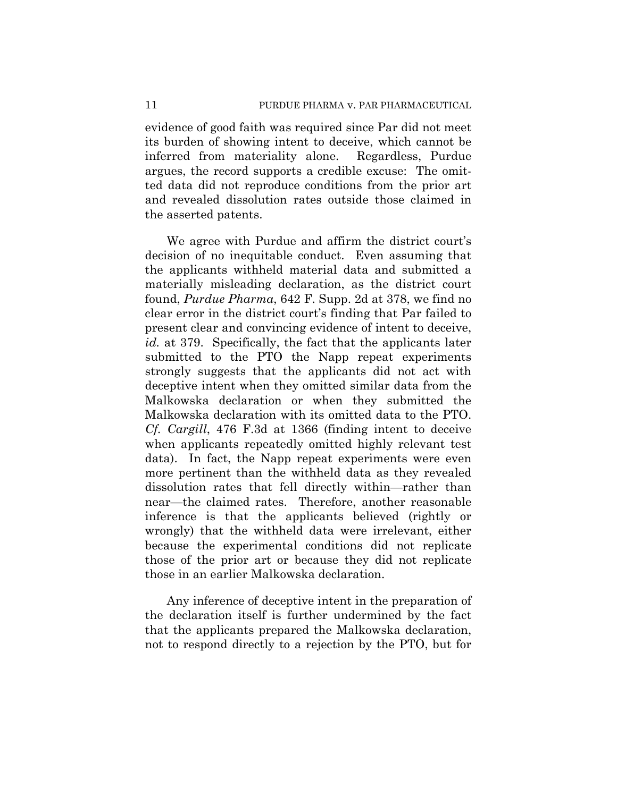evidence of good faith was required since Par did not meet its burden of showing intent to deceive, which cannot be inferred from materiality alone. Regardless, Purdue argues, the record supports a credible excuse: The omitted data did not reproduce conditions from the prior art and revealed dissolution rates outside those claimed in the asserted patents.

We agree with Purdue and affirm the district court's decision of no inequitable conduct. Even assuming that the applicants withheld material data and submitted a materially misleading declaration, as the district court found, *Purdue Pharma*, 642 F. Supp. 2d at 378, we find no clear error in the district court's finding that Par failed to present clear and convincing evidence of intent to deceive, *id.* at 379. Specifically, the fact that the applicants later submitted to the PTO the Napp repeat experiments strongly suggests that the applicants did not act with deceptive intent when they omitted similar data from the Malkowska declaration or when they submitted the Malkowska declaration with its omitted data to the PTO. *Cf. Cargill*, 476 F.3d at 1366 (finding intent to deceive when applicants repeatedly omitted highly relevant test data). In fact, the Napp repeat experiments were even more pertinent than the withheld data as they revealed dissolution rates that fell directly within—rather than near—the claimed rates. Therefore, another reasonable inference is that the applicants believed (rightly or wrongly) that the withheld data were irrelevant, either because the experimental conditions did not replicate those of the prior art or because they did not replicate those in an earlier Malkowska declaration.

Any inference of deceptive intent in the preparation of the declaration itself is further undermined by the fact that the applicants prepared the Malkowska declaration, not to respond directly to a rejection by the PTO, but for